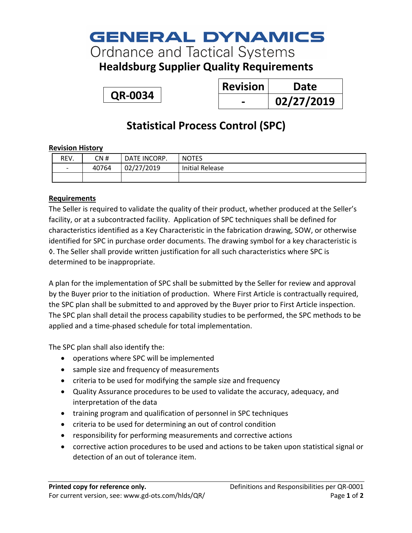# **GENERAL DYNAMICS**

**Ordnance and Tactical Systems** 

**Healdsburg Supplier Quality Requirements**

**QR-0034**

| <b>Revision</b> | Date       |
|-----------------|------------|
|                 | 02/27/2019 |

### **Statistical Process Control (SPC)**

#### **Revision History**

| REV.                     | CN #  | DATE INCORP. | <b>NOTES</b>           |
|--------------------------|-------|--------------|------------------------|
| $\overline{\phantom{0}}$ | 40764 | 02/27/2019   | <b>Initial Release</b> |
|                          |       |              |                        |

### **Requirements**

The Seller is required to validate the quality of their product, whether produced at the Seller's facility, or at a subcontracted facility. Application of SPC techniques shall be defined for characteristics identified as a Key Characteristic in the fabrication drawing, SOW, or otherwise identified for SPC in purchase order documents. The drawing symbol for a key characteristic is ◊. The Seller shall provide written justification for all such characteristics where SPC is determined to be inappropriate.

A plan for the implementation of SPC shall be submitted by the Seller for review and approval by the Buyer prior to the initiation of production. Where First Article is contractually required, the SPC plan shall be submitted to and approved by the Buyer prior to First Article inspection. The SPC plan shall detail the process capability studies to be performed, the SPC methods to be applied and a time-phased schedule for total implementation.

The SPC plan shall also identify the:

- operations where SPC will be implemented
- sample size and frequency of measurements
- criteria to be used for modifying the sample size and frequency
- Quality Assurance procedures to be used to validate the accuracy, adequacy, and interpretation of the data
- training program and qualification of personnel in SPC techniques
- criteria to be used for determining an out of control condition
- responsibility for performing measurements and corrective actions
- corrective action procedures to be used and actions to be taken upon statistical signal or detection of an out of tolerance item.